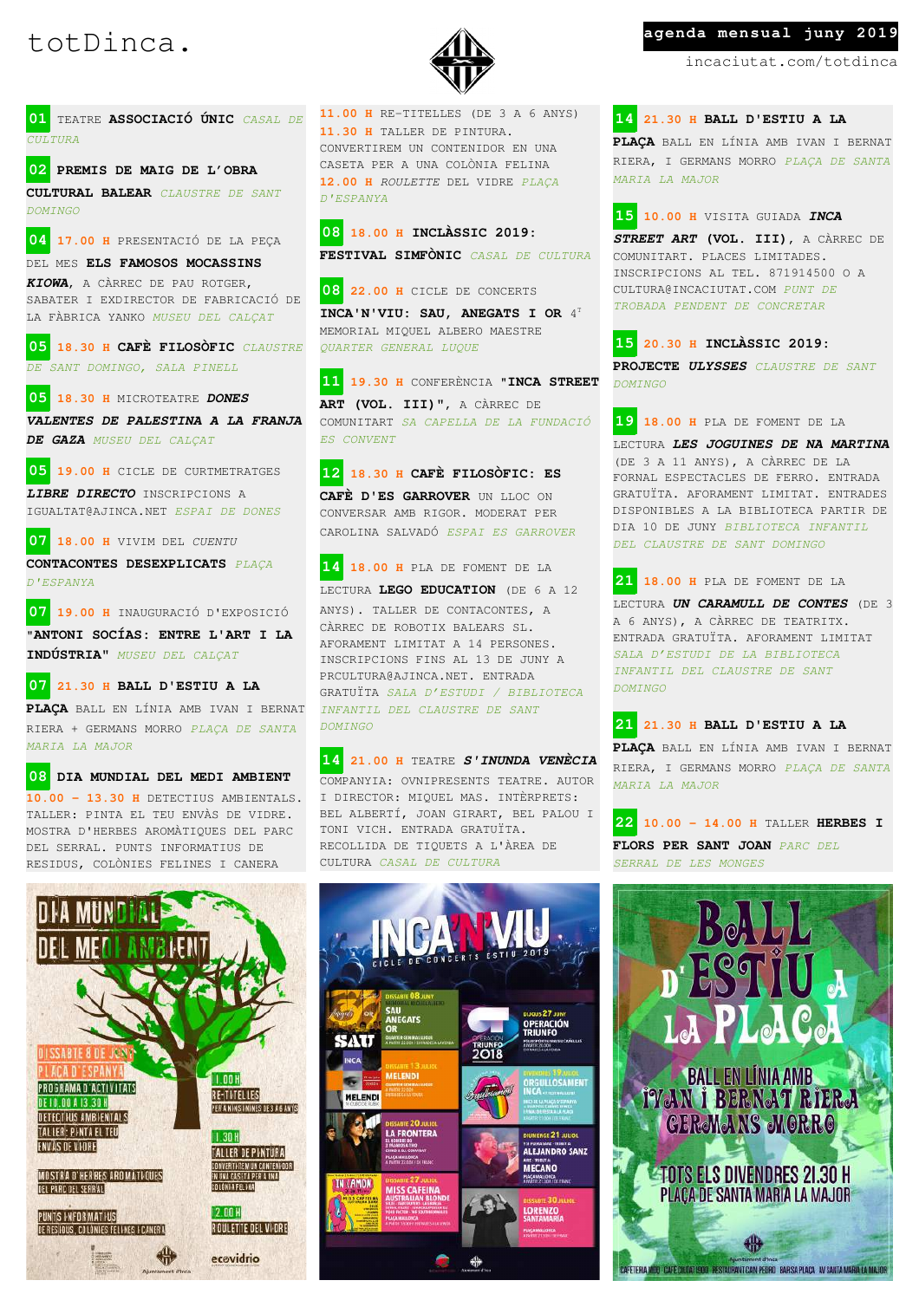

**01** TEATRE **ASSOCIACIÓ ÚNIC** *CASAL DE*  $\overline{CUIL}$ *TURA* 

**02 PREMIS DE MAIG DE L'OBRA CULTURAL BALEAR** *CLAUSTRE DE SANT DOMINGO*

**04 17.00 H** PRESENTACIÓ DE LA PEÇA

DEL MES **ELS FAMOSOS MOCASSINS**  *KIOWA*, A CÀRREC DE PAU ROTGER,

SABATER I EXDIRECTOR DE FABRICACIÓ DE LA FÀBRICA YANKO *MUSEU DEL CALÇAT*

**05 18.30 H CAFÈ FILOSÒFIC** *CLAUSTRE DE SANT DOMINGO, SALA PINELL*

**05 18.30 H** MICROTEATRE *DONES* 

*VALENTES DE PALESTINA A LA FRANJA DE GAZA MUSEU DEL CALÇAT*

**05 19.00 H** CICLE DE CURTMETRATGES

*LIBRE DIRECTO* INSCRIPCIONS A IGUALTAT@AJINCA.NET *ESPAI DE DONES*

**07 18.00 H** VIVIM DEL *CUENTU*

**CONTACONTES DESEXPLICATS** *PLAÇA D'ESPANYA*

**07 19.00 H** INAUGURACIÓ D'EXPOSICIÓ "**ANTONI SOCÍAS: ENTRE L'ART I LA INDÚSTRIA"** *MUSEU DEL CALÇAT*

**07 21.30 H BALL D'ESTIU A LA** 

**PLAÇA** BALL EN LÍNIA AMB IVAN I BERNAT RIERA + GERMANS MORRO *PLAÇA DE SANTA MARIA LA MAJOR*

**08 DIA MUNDIAL DEL MEDI AMBIENT 10.00 – 13.30 H** DETECTIUS AMBIENTALS. TALLER: PINTA EL TEU ENVÀS DE VIDRE. MOSTRA D'HERBES AROMÀTIQUES DEL PARC DEL SERRAL. PUNTS INFORMATIUS DE RESIDUS, COLÒNIES FELINES I CANERA

**11.00 H** RE-TITELLES (DE 3 A 6 ANYS) **11.30 H** TALLER DE PINTURA. CONVERTIREM UN CONTENIDOR EN UNA CASETA PER A UNA COLÒNIA FELINA **12.00 H** *ROULETTE* DEL VIDRE *PLAÇA D'ESPANYA*

**08 18.00 H INCLÀSSIC 2019: FESTIVAL SIMFÒNIC** *CASAL DE CULTURA*

**08 22.00 H** CICLE DE CONCERTS **INCA'N'VIU: SAU, ANEGATS I OR** 4 T MEMORIAL MIQUEL ALBERO MAESTRE *QUARTER GENERAL LUQUE*

**11 19.30 H** CONFERÈNCIA "**INCA STREET ART (VOL. III)"**, A CÀRREC DE COMUNITART *SA CAPELLA DE LA FUNDACIÓ ES CONVENT*

**12 18.30 H CAFÈ FILOSÒFIC: ES**  CAFÈ D'ES GARROVER UN LLOC ON CONVERSAR AMB RIGOR. MODERAT PER CAROLINA SALVADÓ *ESPAI ES GARROVER*

**14 18.00 H** PLA DE FOMENT DE LA LECTURA **LEGO EDUCATION** (DE 6 A 12 ANYS). TALLER DE CONTACONTES, A CÀRREC DE ROBOTIX BALEARS SL. AFORAMENT LIMITAT A 14 PERSONES. INSCRIPCIONS FINS AL 13 DE JUNY A PRCULTURA@AJINCA.NET. ENTRADA GRATUÏTA *SALA D'ESTUDI / BIBLIOTECA INFANTIL DEL CLAUSTRE DE SANT DOMINGO*

**14 21.00 H** TEATRE *S'INUNDA VENÈCIA* COMPANYIA: OVNIPRESENTS TEATRE. AUTOR I DIRECTOR: MIQUEL MAS. INTÈRPRETS: BEL ALBERTÍ, JOAN GIRART, BEL PALOU I TONI VICH. ENTRADA GRATUÏTA. RECOLLIDA DE TIQUETS A L'ÀREA DE CULTURA *CASAL DE CULTURA*

DIJOUS 27 JUNY<br>OPERACIÓN<br>TRIUNFO

 $MSE$  21  $MID$ 

*<b>ALEJANDRO SANZ* 

**MECANO** 

LORENZO

**2018** 

...<br>Negats

MELENDI

LA FRONTERA

**MISS CAFEINA** 

SAU

**INCA** 

 $\overline{ }$ 

**IN (AMON)** 

MELENDI

### totDinca. **A** agenda mensual juny 2019

incaciutat.com/totdinca

**14 21.30 H BALL D'ESTIU A LA** 

**PLAÇA** BALL EN LÍNIA AMB IVAN I BERNAT RIERA, I GERMANS MORRO *PLAÇA DE SANTA MARIA LA MAJOR*

**15 10.00 H** VISITA GUIADA *INCA* 

*STREET ART* **(VOL. III)**, A CÀRREC DE COMUNITART. PLACES LIMITADES. INSCRIPCIONS AL TEL. 871914500 O A CULTURA@INCACIUTAT.COM *PUNT DE TROBADA PENDENT DE CONCRETAR*

**15 20.30 H INCLÀSSIC 2019: PROJECTE** *ULYSSES CLAUSTRE DE SANT DOMINGO*

**19 18.00 H** PLA DE FOMENT DE LA LECTURA *LES JOGUINES DE NA MARTINA* (DE 3 A 11 ANYS), A CÀRREC DE LA FORNAL ESPECTACLES DE FERRO. ENTRADA GRATUÏTA. AFORAMENT LIMITAT. ENTRADES DISPONIBLES A LA BIBLIOTECA PARTIR DE DIA 10 DE JUNY *BIBLIOTECA INFANTIL DEL CLAUSTRE DE SANT DOMINGO*

**21 18.00 H** PLA DE FOMENT DE LA LECTURA *UN CARAMULL DE CONTES* (DE 3 A 6 ANYS), A CÀRREC DE TEATRITX. ENTRADA GRATUÏTA. AFORAMENT LIMITAT *SALA D'ESTUDI DE LA BIBLIOTECA INFANTIL DEL CLAUSTRE DE SANT DOMINGO*

**21 21.30 H BALL D'ESTIU A LA PLAÇA** BALL EN LÍNIA AMB IVAN I BERNAT RIERA, I GERMANS MORRO *PLAÇA DE SANTA MARIA LA MAJOR*

**22 10.00 – 14.00 H** TALLER **HERBES I FLORS PER SANT JOAN** *PARC DEL SERRAL DE LES MONGES*